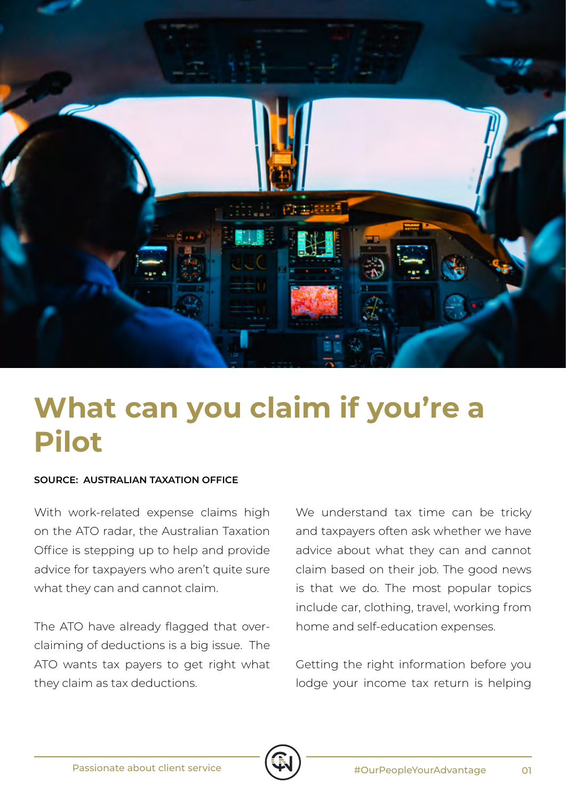

## **What can you claim if you're a Pilot**

## **SOURCE: AUSTRALIAN TAXATION OFFICE**

With work-related expense claims high on the ATO radar, the Australian Taxation Office is stepping up to help and provide advice for taxpayers who aren't quite sure what they can and cannot claim.

The ATO have already flagged that overclaiming of deductions is a big issue. The ATO wants tax payers to get right what they claim as tax deductions.

We understand tax time can be tricky and taxpayers often ask whether we have advice about what they can and cannot claim based on their job. The good news is that we do. The most popular topics include car, clothing, travel, working from home and self-education expenses.

Getting the right information before you lodge your income tax return is helping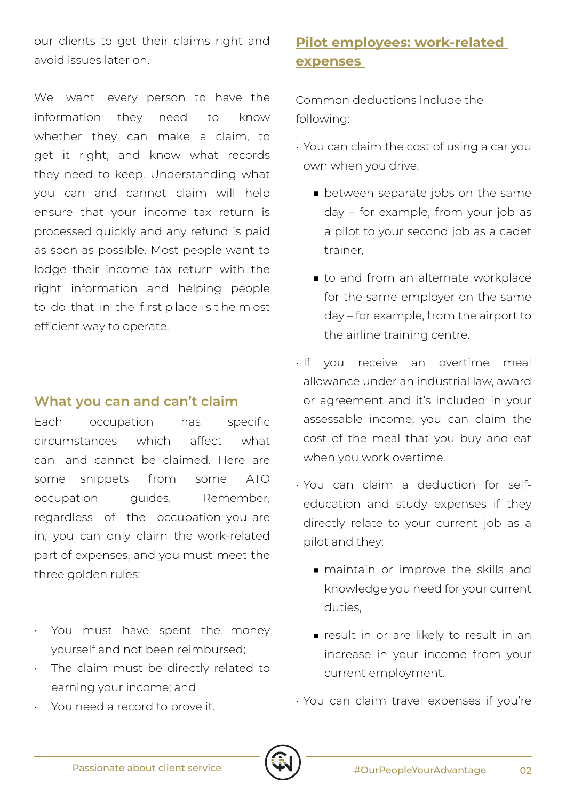our clients to get their claims right and avoid issues later on.

We want every person to have the information they need to know whether they can make a claim, to get it right, and know what records they need to keep. Understanding what you can and cannot claim will help ensure that your income tax return is processed quickly and any refund is paid as soon as possible. Most people want to lodge their income tax return with the right information and helping people to do that in the first p lace i s t he m ost efficient way to operate.

## **What you can and can't claim**

Each occupation has specific circumstances which affect what can and cannot be claimed. Here are some snippets from some ATO occupation quides. Remember, regardless of the occupation you are in, you can only claim the work-related part of expenses, and you must meet the three golden rules:

- You must have spent the money yourself and not been reimbursed;
- The claim must be directly related to earning your income; and
- You need a record to prove it.

## **Pilot employees: work-related expenses**

Common deductions include the following:

- You can claim the cost of using a car you own when you drive:
	- between separate jobs on the same day – for example, from your job as a pilot to your second job as a cadet trainer,
	- to and from an alternate workplace for the same employer on the same day – for example, from the airport to the airline training centre.
- If you receive an overtime meal allowance under an industrial law, award or agreement and it's included in your assessable income, you can claim the cost of the meal that you buy and eat when you work overtime.
- You can claim a deduction for selfeducation and study expenses if they directly relate to your current job as a pilot and they:
	- maintain or improve the skills and knowledge you need for your current duties,
	- result in or are likely to result in an increase in your income from your current employment.
- You can claim travel expenses if you're